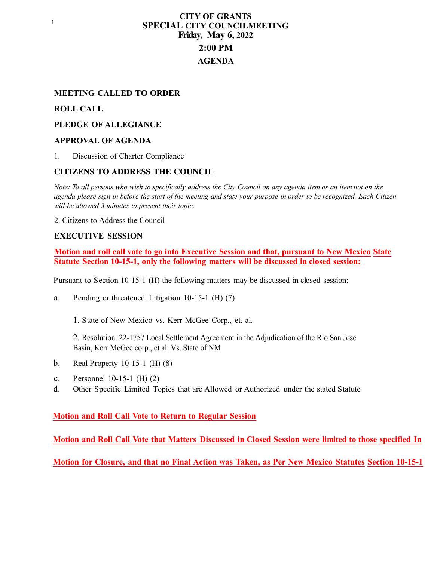## **CITY OF GRANTS SPECIAL CITY COUNCILMEETING Friday, May 6, 2022 2:00 PM AGENDA**

### **MEETING CALLED TO ORDER**

#### **ROLL CALL**

#### **PLEDGE OF ALLEGIANCE**

#### **APPROVAL OF AGENDA**

1. Discussion of Charter Compliance

#### **CITIZENS TO ADDRESS THE COUNCIL**

*Note: To all persons who wish to specifically address the City Council on any agenda item or an item not on the agenda please sign in before the start of the meeting and state your purpose in order to be recognized. Each Citizen will be allowed 3 minutes to present their topic.*

2. Citizens to Address the Council

#### **EXECUTIVE SESSION**

**Motion and roll call vote to go into Executive Session and that, pursuant to New Mexico State Statute Section 10-15-1, only the following matters will be discussed in closed session:**

Pursuant to Section 10-15-1 (H) the following matters may be discussed in closed session:

a. Pending or threatened Litigation 10-15-1 (H) (7)

1. State of New Mexico vs. Kerr McGee Corp., et. al.

2. Resolution 22-1757 Local Settlement Agreement in the Adjudication of the Rio San Jose Basin, Kerr McGee corp., et al. Vs. State of NM

- b. Real Property 10-15-1 (H) (8)
- c. Personnel 10-15-1 (H) (2)
- d. Other Specific Limited Topics that are Allowed or Authorized under the stated Statute

#### **Motion and Roll Call Vote to Return to Regular Session**

**Motion and Roll Call Vote that Matters Discussed in Closed Session were limited to those specified In** 

**Motion for Closure, and that no Final Action was Taken, as Per New Mexico Statutes Section 10-15-1**